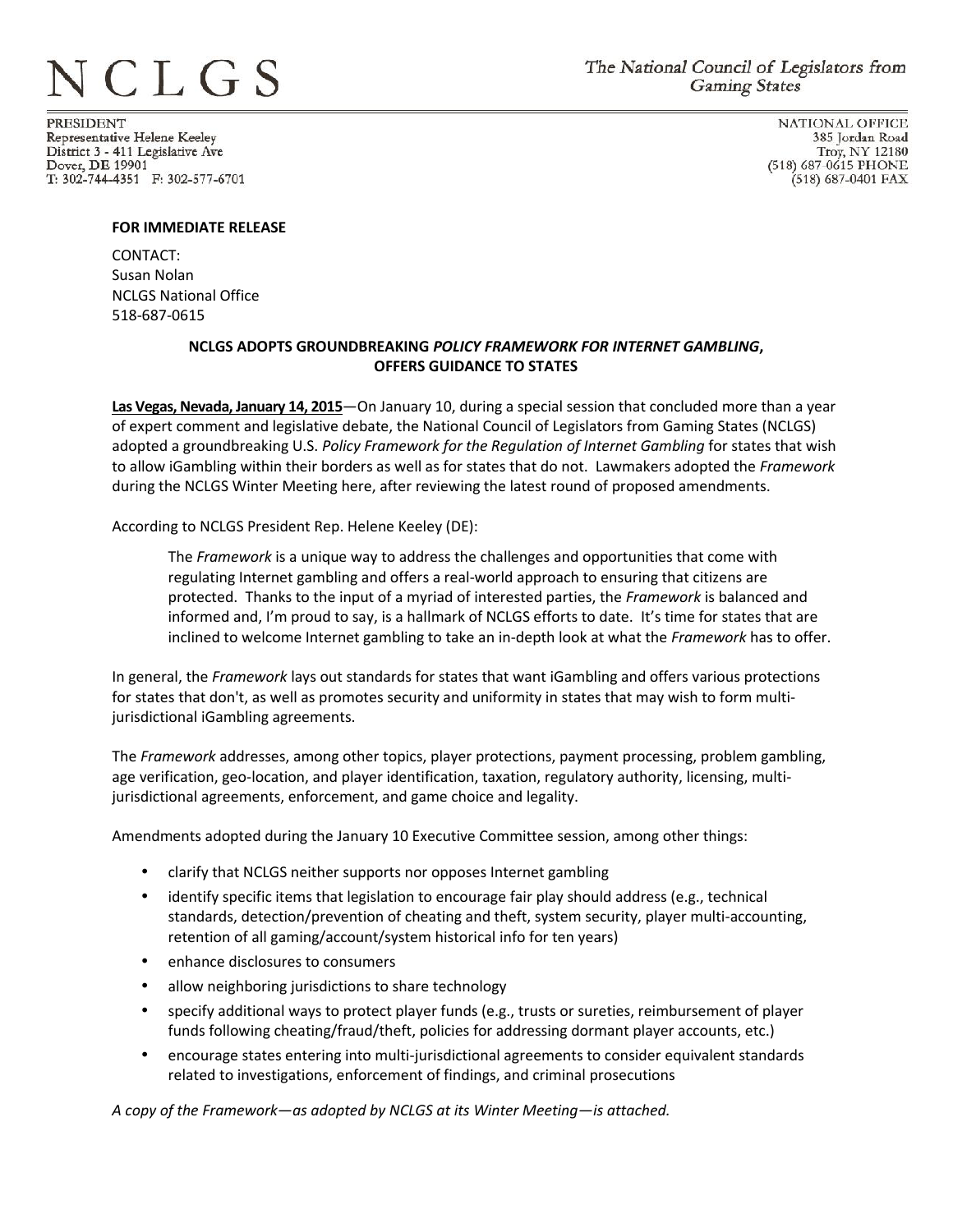## **ICLGS**

**PRESIDENT** Representative Helene Keeley District 3 - 411 Legislative Ave Dover, DE 19901 T: 302-744-4351 F: 302-577-6701

**NATIONAL OFFICE** 385 Jordan Road Troy, NY 12180 (518) 687-0615 PHONE (518) 687-0401 FAX

## **FOR IMMEDIATE RELEASE**

CONTACT: Susan Nolan NCLGS National Office 518-687-0615

## **NCLGS ADOPTS GROUNDBREAKING** *POLICY FRAMEWORK FOR INTERNET GAMBLING***, OFFERS GUIDANCE TO STATES**

**Las Vegas, Nevada, January 14, 2015—On** January 10, during a special session that concluded more than a year of expert comment and legislative debate, the National Council of Legislators from Gaming States (NCLGS) adopted a groundbreaking U.S. *Policy Framework for the Regulation of Internet Gambling* for states that wish to allow iGambling within their borders as well as for states that do not. Lawmakers adopted the *Framework* during the NCLGS Winter Meeting here, after reviewing the latest round of proposed amendments.

According to NCLGS President Rep. Helene Keeley (DE):

The *Framework* is a unique way to address the challenges and opportunities that come with regulating Internet gambling and offers a real-world approach to ensuring that citizens are protected. Thanks to the input of a myriad of interested parties, the *Framework* is balanced and informed and, I'm proud to say, is a hallmark of NCLGS efforts to date. It's time for states that are inclined to welcome Internet gambling to take an in-depth look at what the *Framework* has to offer.

In general, the *Framework* lays out standards for states that want iGambling and offers various protections for states that don't, as well as promotes security and uniformity in states that may wish to form multijurisdictional iGambling agreements.

The *Framework* addresses, among other topics, player protections, payment processing, problem gambling, age verification, geo-location, and player identification, taxation, regulatory authority, licensing, multijurisdictional agreements, enforcement, and game choice and legality.

Amendments adopted during the January 10 Executive Committee session, among other things:

- $\tilde{N}$  clarify that NCLGS neither supports nor opposes Internet gambling
- $\tilde{N}$  identify specific items that legislation to encourage fair play should address (e.g., technical standards, detection/prevention of cheating and theft, system security, player multi-accounting, retention of all gaming/account/system historical info for ten years)
- $\tilde{N}$  enhance disclosures to consumers
- $\tilde{N}$  allow neighboring jurisdictions to share technology
- $\tilde{N}$  specify additional ways to protect player funds (e.g., trusts or sureties, reimbursement of player funds following cheating/fraud/theft, policies for addressing dormant player accounts, etc.)
- $\hat{N}$  encourage states entering into multi-jurisdictional agreements to consider equivalent standards related to investigations, enforcement of findings, and criminal prosecutions

*A copy of the Framework—as adopted by NCLGS at its Winter Meeting—is attached.*